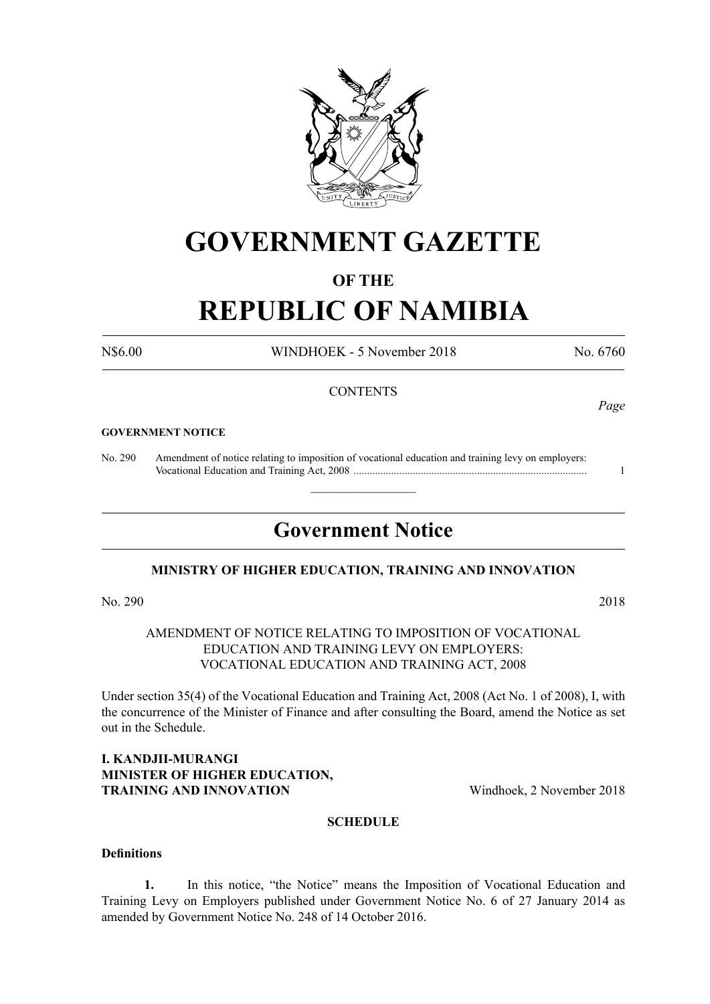

# **GOVERNMENT GAZETTE**

# **OF THE**

# **REPUBLIC OF NAMIBIA**

N\$6.00 WINDHOEK - 5 November 2018 No. 6760

*Page*

# **CONTENTS**

#### **GOVERNMENT NOTICE**

No. 290 Amendment of notice relating to imposition of vocational education and training levy on employers: Vocational Education and Training Act, 2008 ....................................................................................... 1

# **Government Notice**

 $\overline{\phantom{a}}$  , where  $\overline{\phantom{a}}$ 

# **MINISTRY OF HIGHER EDUCATION, TRAINING AND INNOVATION**

No. 290 2018

AMENDMENT OF NOTICE RELATING TO IMPOSITION OF VOCATIONAL EDUCATION AND TRAINING LEVY ON EMPLOYERS: VOCATIONAL EDUCATION AND TRAINING ACT, 2008

Under section 35(4) of the Vocational Education and Training Act, 2008 (Act No. 1 of 2008), I, with the concurrence of the Minister of Finance and after consulting the Board, amend the Notice as set out in the Schedule.

# **I. KANDJII-MURANGI MINISTER OF HIGHER EDUCATION, TRAINING AND INNOVATION** Windhoek, 2 November 2018

# **SCHEDULE**

#### **Definitions**

**1.** In this notice, "the Notice" means the Imposition of Vocational Education and Training Levy on Employers published under Government Notice No. 6 of 27 January 2014 as amended by Government Notice No. 248 of 14 October 2016.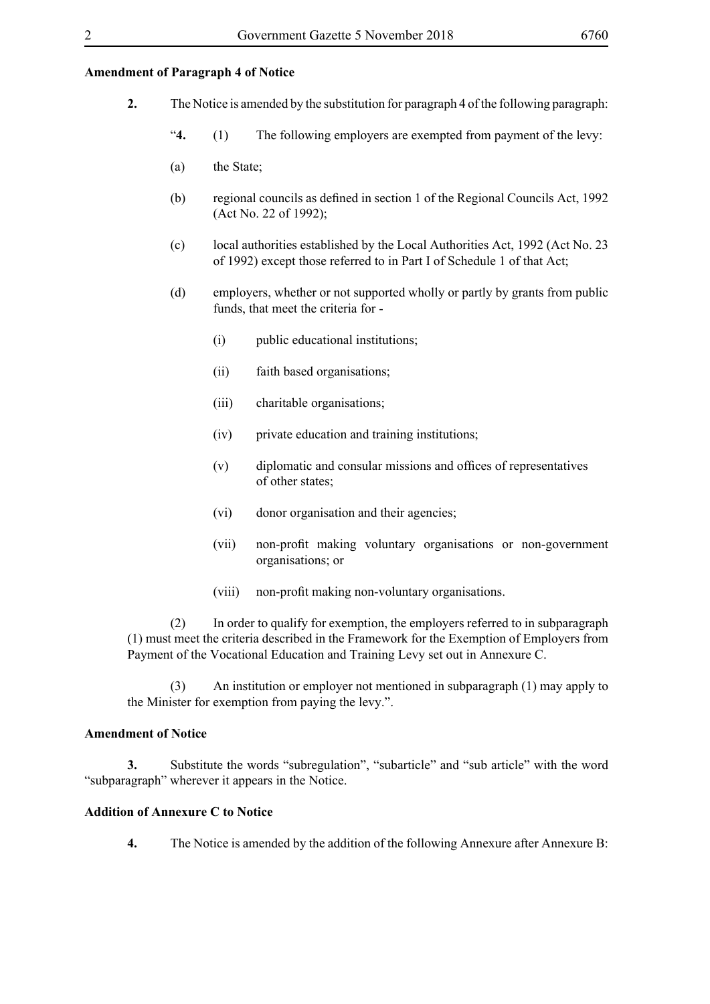### **Amendment of Paragraph 4 of Notice**

- **2.** The Notice is amended by the substitution for paragraph 4 of the following paragraph:
	- "**4.** (1) The following employers are exempted from payment of the levy:
	- (a) the State;
	- (b) regional councils as defined in section 1 of the Regional Councils Act, 1992 (Act No. 22 of 1992);
	- (c) local authorities established by the Local Authorities Act, 1992 (Act No. 23 of 1992) except those referred to in Part I of Schedule 1 of that Act;
	- (d) employers, whether or not supported wholly or partly by grants from public funds, that meet the criteria for -
		- (i) public educational institutions;
		- (ii) faith based organisations;
		- (iii) charitable organisations;
		- (iv) private education and training institutions;
		- (v) diplomatic and consular missions and offices of representatives of other states;
		- (vi) donor organisation and their agencies;
		- (vii) non-profit making voluntary organisations or non-government organisations; or
		- (viii) non-profit making non-voluntary organisations.

(2) In order to qualify for exemption, the employers referred to in subparagraph (1) must meet the criteria described in the Framework for the Exemption of Employers from Payment of the Vocational Education and Training Levy set out in Annexure C.

(3) An institution or employer not mentioned in subparagraph (1) may apply to the Minister for exemption from paying the levy.".

#### **Amendment of Notice**

**3.** Substitute the words "subregulation", "subarticle" and "sub article" with the word "subparagraph" wherever it appears in the Notice.

### **Addition of Annexure C to Notice**

**4.** The Notice is amended by the addition of the following Annexure after Annexure B: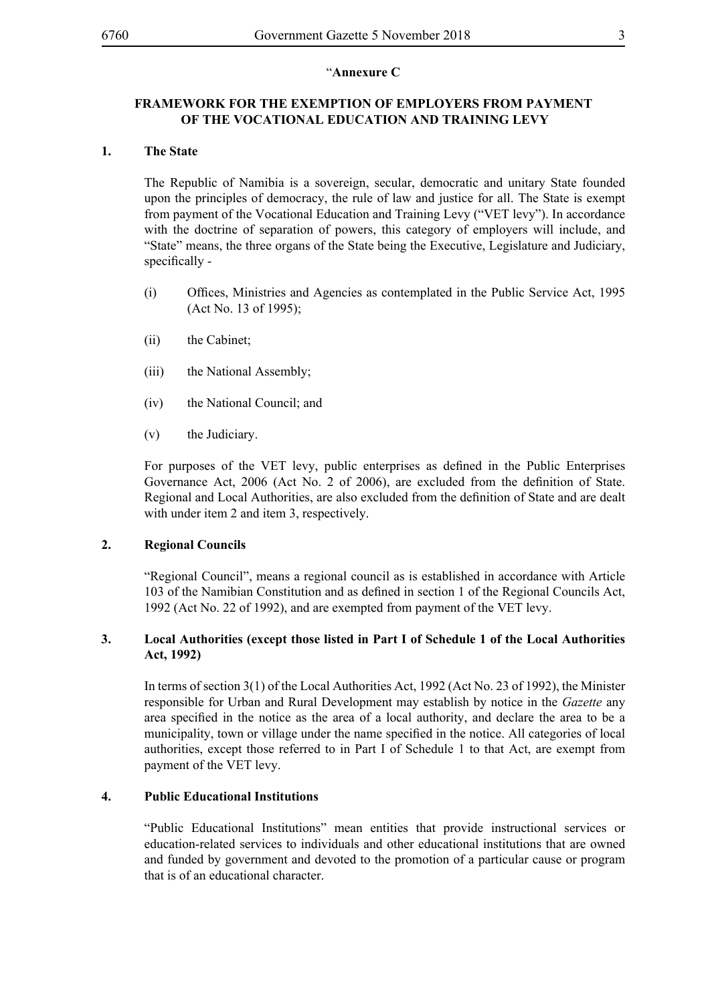# "**Annexure C**

# **FRAMEWORK FOR THE EXEMPTION OF EMPLOYERS FROM PAYMENT OF THE VOCATIONAL EDUCATION AND TRAINING LEVY**

# **1. The State**

The Republic of Namibia is a sovereign, secular, democratic and unitary State founded upon the principles of democracy, the rule of law and justice for all. The State is exempt from payment of the Vocational Education and Training Levy ("VET levy"). In accordance with the doctrine of separation of powers, this category of employers will include, and "State" means, the three organs of the State being the Executive, Legislature and Judiciary, specifically -

- (i) Offices, Ministries and Agencies as contemplated in the Public Service Act, 1995 (Act No. 13 of 1995);
- (ii) the Cabinet;
- (iii) the National Assembly;
- (iv) the National Council; and
- (v) the Judiciary.

For purposes of the VET levy, public enterprises as defined in the Public Enterprises Governance Act, 2006 (Act No. 2 of 2006), are excluded from the definition of State. Regional and Local Authorities, are also excluded from the definition of State and are dealt with under item 2 and item 3, respectively.

# **2. Regional Councils**

"Regional Council", means a regional council as is established in accordance with Article 103 of the Namibian Constitution and as defined in section 1 of the Regional Councils Act, 1992 (Act No. 22 of 1992), and are exempted from payment of the VET levy.

# **3. Local Authorities (except those listed in Part I of Schedule 1 of the Local Authorities Act, 1992)**

In terms of section 3(1) of the Local Authorities Act, 1992 (Act No. 23 of 1992), the Minister responsible for Urban and Rural Development may establish by notice in the *Gazette* any area specified in the notice as the area of a local authority, and declare the area to be a municipality, town or village under the name specified in the notice. All categories of local authorities, except those referred to in Part I of Schedule 1 to that Act, are exempt from payment of the VET levy.

# **4. Public Educational Institutions**

"Public Educational Institutions" mean entities that provide instructional services or education-related services to individuals and other educational institutions that are owned and funded by government and devoted to the promotion of a particular cause or program that is of an educational character.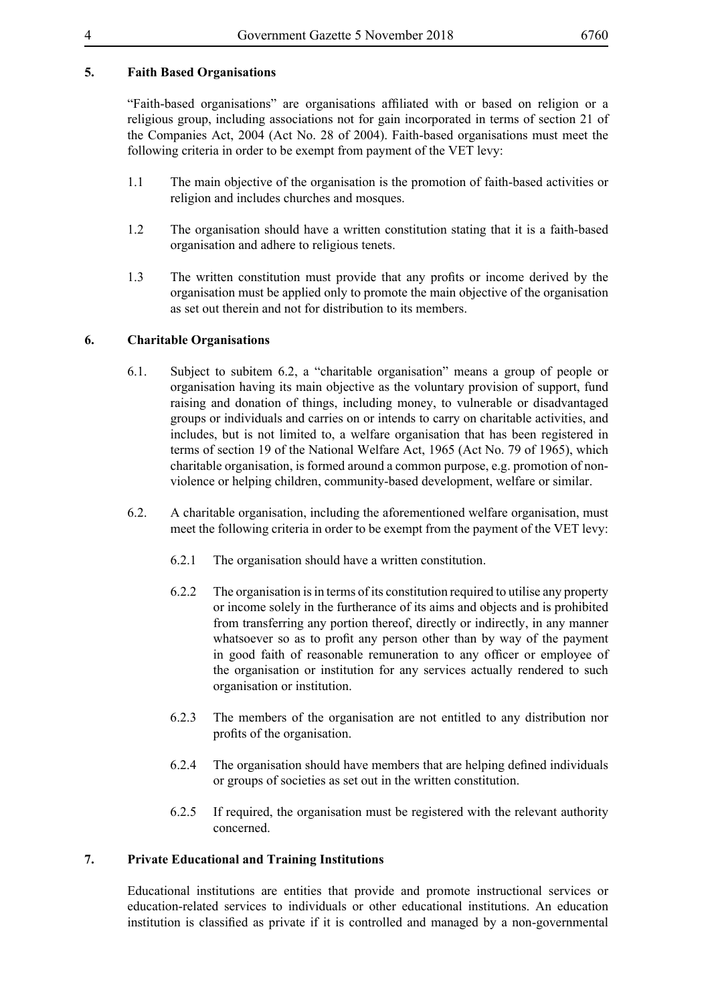# **5. Faith Based Organisations**

"Faith-based organisations" are organisations affiliated with or based on religion or a religious group, including associations not for gain incorporated in terms of section 21 of the Companies Act, 2004 (Act No. 28 of 2004). Faith-based organisations must meet the following criteria in order to be exempt from payment of the VET levy:

- 1.1 The main objective of the organisation is the promotion of faith-based activities or religion and includes churches and mosques.
- 1.2 The organisation should have a written constitution stating that it is a faith-based organisation and adhere to religious tenets.
- 1.3 The written constitution must provide that any profits or income derived by the organisation must be applied only to promote the main objective of the organisation as set out therein and not for distribution to its members.

# **6. Charitable Organisations**

- 6.1. Subject to subitem 6.2, a "charitable organisation" means a group of people or organisation having its main objective as the voluntary provision of support, fund raising and donation of things, including money, to vulnerable or disadvantaged groups or individuals and carries on or intends to carry on charitable activities, and includes, but is not limited to, a welfare organisation that has been registered in terms of section 19 of the National Welfare Act, 1965 (Act No. 79 of 1965), which charitable organisation, is formed around a common purpose, e.g. promotion of nonviolence or helping children, community-based development, welfare or similar.
- 6.2. A charitable organisation, including the aforementioned welfare organisation, must meet the following criteria in order to be exempt from the payment of the VET levy:
	- 6.2.1 The organisation should have a written constitution.
	- 6.2.2 The organisation is in terms of its constitution required to utilise any property or income solely in the furtherance of its aims and objects and is prohibited from transferring any portion thereof, directly or indirectly, in any manner whatsoever so as to profit any person other than by way of the payment in good faith of reasonable remuneration to any officer or employee of the organisation or institution for any services actually rendered to such organisation or institution.
	- 6.2.3 The members of the organisation are not entitled to any distribution nor profits of the organisation.
	- 6.2.4 The organisation should have members that are helping defined individuals or groups of societies as set out in the written constitution.
	- 6.2.5 If required, the organisation must be registered with the relevant authority concerned.

# **7. Private Educational and Training Institutions**

Educational institutions are entities that provide and promote instructional services or education-related services to individuals or other educational institutions. An education institution is classified as private if it is controlled and managed by a non-governmental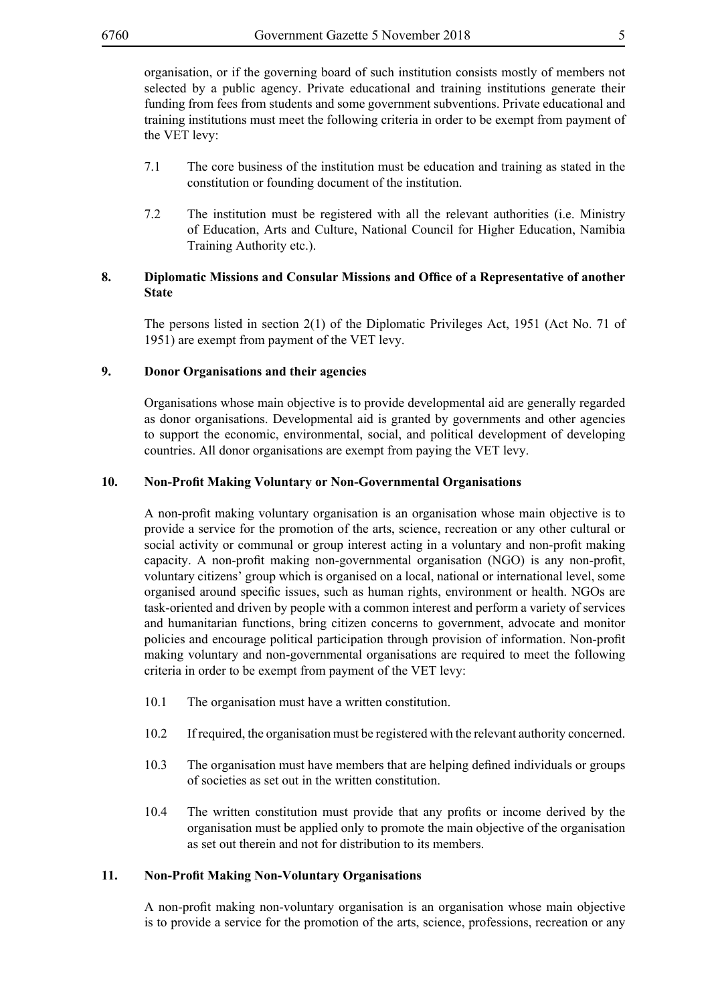organisation, or if the governing board of such institution consists mostly of members not selected by a public agency. Private educational and training institutions generate their funding from fees from students and some government subventions. Private educational and training institutions must meet the following criteria in order to be exempt from payment of the VET levy:

- 7.1 The core business of the institution must be education and training as stated in the constitution or founding document of the institution.
- 7.2 The institution must be registered with all the relevant authorities (i.e. Ministry of Education, Arts and Culture, National Council for Higher Education, Namibia Training Authority etc.).

# **8. Diplomatic Missions and Consular Missions and Office of a Representative of another State**

The persons listed in section 2(1) of the Diplomatic Privileges Act, 1951 (Act No. 71 of 1951) are exempt from payment of the VET levy.

# **9. Donor Organisations and their agencies**

Organisations whose main objective is to provide developmental aid are generally regarded as donor organisations. Developmental aid is granted by governments and other agencies to support the economic, environmental, social, and political development of developing countries. All donor organisations are exempt from paying the VET levy.

#### **10. Non-Profit Making Voluntary or Non-Governmental Organisations**

A non-profit making voluntary organisation is an organisation whose main objective is to provide a service for the promotion of the arts, science, recreation or any other cultural or social activity or communal or group interest acting in a voluntary and non-profit making capacity. A non-profit making non-governmental organisation (NGO) is any non-profit, voluntary citizens' group which is organised on a local, national or international level, some organised around specific issues, such as human rights, environment or health. NGOs are task-oriented and driven by people with a common interest and perform a variety of services and humanitarian functions, bring citizen concerns to government, advocate and monitor policies and encourage political participation through provision of information. Non-profit making voluntary and non-governmental organisations are required to meet the following criteria in order to be exempt from payment of the VET levy:

- 10.1 The organisation must have a written constitution.
- 10.2 If required, the organisation must be registered with the relevant authority concerned.
- 10.3 The organisation must have members that are helping defined individuals or groups of societies as set out in the written constitution.
- 10.4 The written constitution must provide that any profits or income derived by the organisation must be applied only to promote the main objective of the organisation as set out therein and not for distribution to its members.

# **11. Non-Profit Making Non-Voluntary Organisations**

A non-profit making non-voluntary organisation is an organisation whose main objective is to provide a service for the promotion of the arts, science, professions, recreation or any